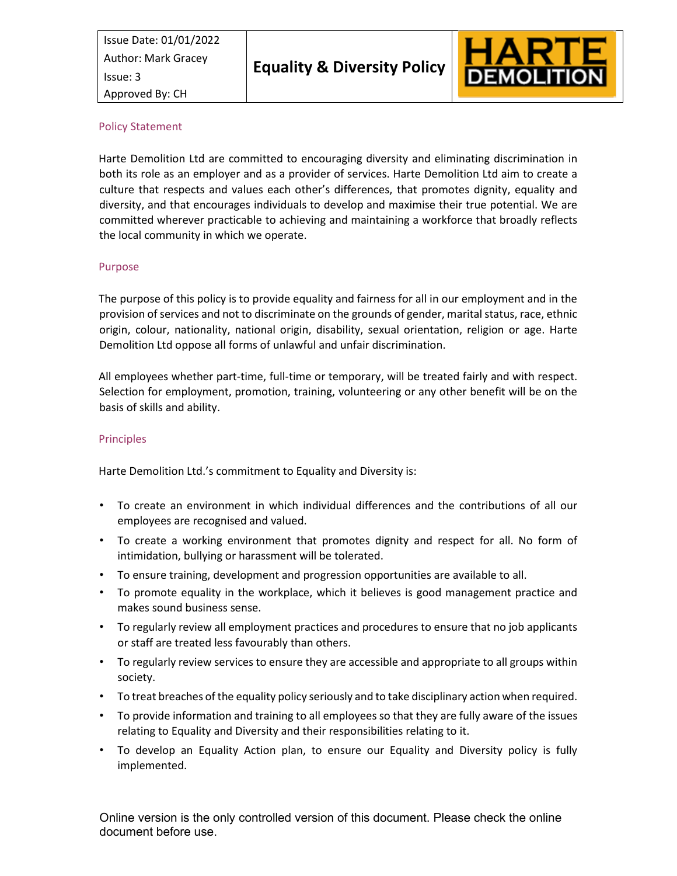

#### Policy Statement

Harte Demolition Ltd are committed to encouraging diversity and eliminating discrimination in both its role as an employer and as a provider of services. Harte Demolition Ltd aim to create a culture that respects and values each other's differences, that promotes dignity, equality and diversity, and that encourages individuals to develop and maximise their true potential. We are committed wherever practicable to achieving and maintaining a workforce that broadly reflects the local community in which we operate.

#### Purpose

The purpose of this policy is to provide equality and fairness for all in our employment and in the provision of services and not to discriminate on the grounds of gender, marital status, race, ethnic origin, colour, nationality, national origin, disability, sexual orientation, religion or age. Harte Demolition Ltd oppose all forms of unlawful and unfair discrimination.

All employees whether part-time, full-time or temporary, will be treated fairly and with respect. Selection for employment, promotion, training, volunteering or any other benefit will be on the basis of skills and ability.

## **Principles**

Harte Demolition Ltd.'s commitment to Equality and Diversity is:

- To create an environment in which individual differences and the contributions of all our employees are recognised and valued.
- To create a working environment that promotes dignity and respect for all. No form of intimidation, bullying or harassment will be tolerated.
- To ensure training, development and progression opportunities are available to all.
- To promote equality in the workplace, which it believes is good management practice and makes sound business sense.
- To regularly review all employment practices and procedures to ensure that no job applicants or staff are treated less favourably than others.
- To regularly review services to ensure they are accessible and appropriate to all groups within society.
- To treat breaches of the equality policy seriously and to take disciplinary action when required.
- To provide information and training to all employees so that they are fully aware of the issues relating to Equality and Diversity and their responsibilities relating to it.
- To develop an Equality Action plan, to ensure our Equality and Diversity policy is fully implemented.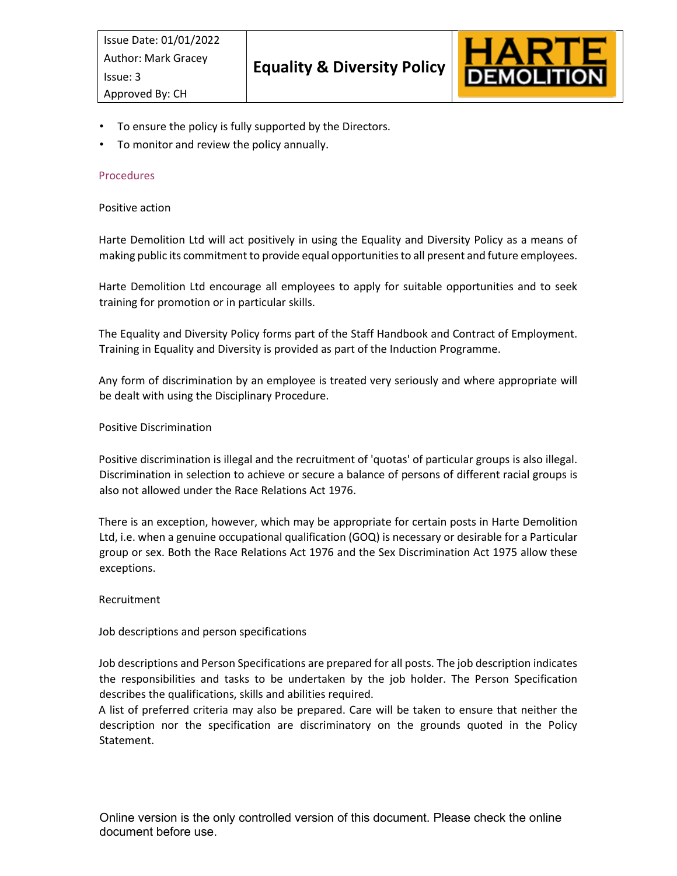

- To ensure the policy is fully supported by the Directors.
- To monitor and review the policy annually.

## Procedures

#### Positive action

Harte Demolition Ltd will act positively in using the Equality and Diversity Policy as a means of making public its commitment to provide equal opportunities to all present and future employees.

Harte Demolition Ltd encourage all employees to apply for suitable opportunities and to seek training for promotion or in particular skills.

The Equality and Diversity Policy forms part of the Staff Handbook and Contract of Employment. Training in Equality and Diversity is provided as part of the Induction Programme.

Any form of discrimination by an employee is treated very seriously and where appropriate will be dealt with using the Disciplinary Procedure.

#### Positive Discrimination

Positive discrimination is illegal and the recruitment of 'quotas' of particular groups is also illegal. Discrimination in selection to achieve or secure a balance of persons of different racial groups is also not allowed under the Race Relations Act 1976.

There is an exception, however, which may be appropriate for certain posts in Harte Demolition Ltd, i.e. when a genuine occupational qualification (GOQ) is necessary or desirable for a Particular group or sex. Both the Race Relations Act 1976 and the Sex Discrimination Act 1975 allow these exceptions.

## Recruitment

## Job descriptions and person specifications

Job descriptions and Person Specifications are prepared for all posts. The job description indicates the responsibilities and tasks to be undertaken by the job holder. The Person Specification describes the qualifications, skills and abilities required.

A list of preferred criteria may also be prepared. Care will be taken to ensure that neither the description nor the specification are discriminatory on the grounds quoted in the Policy Statement.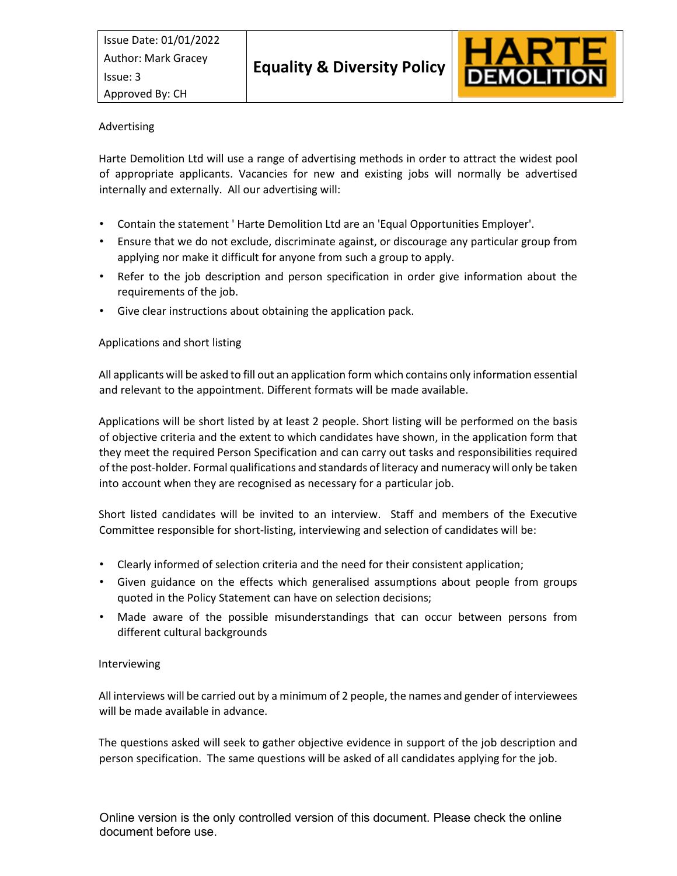

# Advertising

Harte Demolition Ltd will use a range of advertising methods in order to attract the widest pool of appropriate applicants. Vacancies for new and existing jobs will normally be advertised internally and externally. All our advertising will:

- Contain the statement ' Harte Demolition Ltd are an 'Equal Opportunities Employer'.
- Ensure that we do not exclude, discriminate against, or discourage any particular group from applying nor make it difficult for anyone from such a group to apply.
- Refer to the job description and person specification in order give information about the requirements of the job.
- Give clear instructions about obtaining the application pack.

# Applications and short listing

All applicants will be asked to fill out an application form which contains only information essential and relevant to the appointment. Different formats will be made available.

Applications will be short listed by at least 2 people. Short listing will be performed on the basis of objective criteria and the extent to which candidates have shown, in the application form that they meet the required Person Specification and can carry out tasks and responsibilities required of the post-holder. Formal qualifications and standards of literacy and numeracy will only be taken into account when they are recognised as necessary for a particular job.

Short listed candidates will be invited to an interview. Staff and members of the Executive Committee responsible for short-listing, interviewing and selection of candidates will be:

- Clearly informed of selection criteria and the need for their consistent application;
- Given guidance on the effects which generalised assumptions about people from groups quoted in the Policy Statement can have on selection decisions;
- Made aware of the possible misunderstandings that can occur between persons from different cultural backgrounds

## Interviewing

All interviews will be carried out by a minimum of 2 people, the names and gender of interviewees will be made available in advance.

The questions asked will seek to gather objective evidence in support of the job description and person specification. The same questions will be asked of all candidates applying for the job.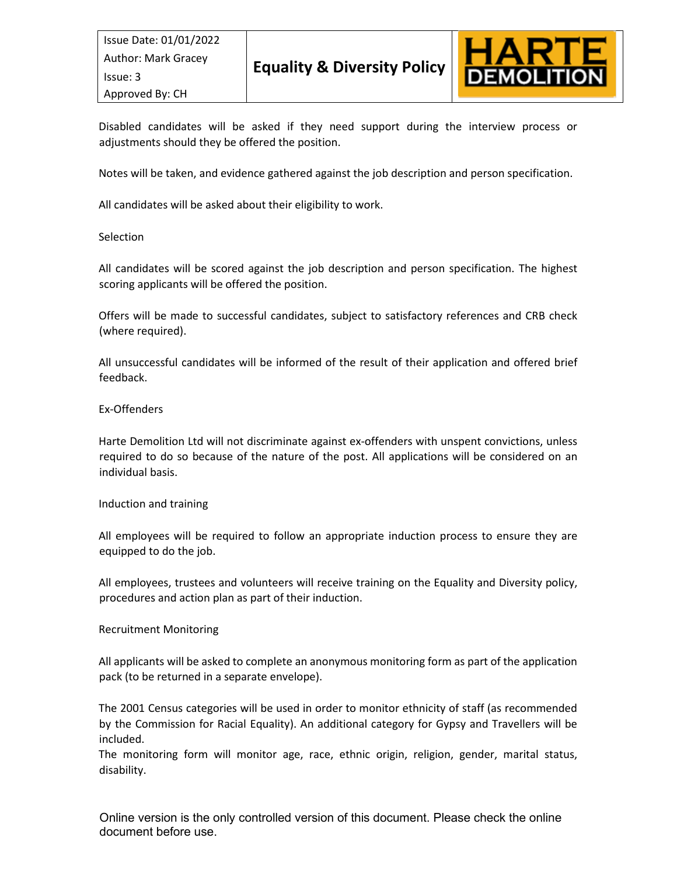

Disabled candidates will be asked if they need support during the interview process or adjustments should they be offered the position.

Notes will be taken, and evidence gathered against the job description and person specification.

All candidates will be asked about their eligibility to work.

## **Selection**

All candidates will be scored against the job description and person specification. The highest scoring applicants will be offered the position.

Offers will be made to successful candidates, subject to satisfactory references and CRB check (where required).

All unsuccessful candidates will be informed of the result of their application and offered brief feedback.

#### Ex-Offenders

Harte Demolition Ltd will not discriminate against ex-offenders with unspent convictions, unless required to do so because of the nature of the post. All applications will be considered on an individual basis.

#### Induction and training

All employees will be required to follow an appropriate induction process to ensure they are equipped to do the job.

All employees, trustees and volunteers will receive training on the Equality and Diversity policy, procedures and action plan as part of their induction.

## Recruitment Monitoring

All applicants will be asked to complete an anonymous monitoring form as part of the application pack (to be returned in a separate envelope).

The 2001 Census categories will be used in order to monitor ethnicity of staff (as recommended by the Commission for Racial Equality). An additional category for Gypsy and Travellers will be included.

The monitoring form will monitor age, race, ethnic origin, religion, gender, marital status, disability.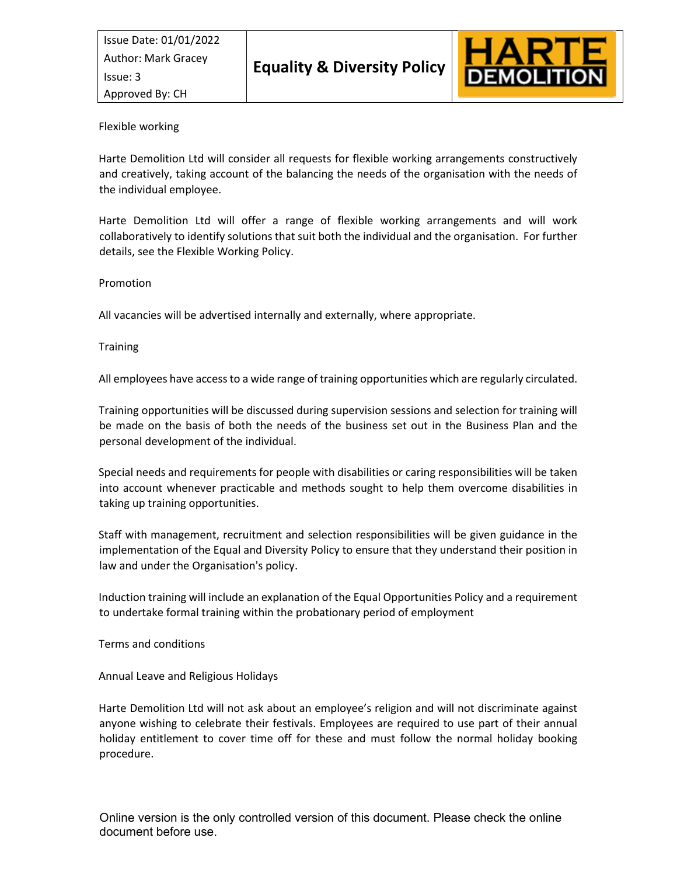

## Flexible working

Harte Demolition Ltd will consider all requests for flexible working arrangements constructively and creatively, taking account of the balancing the needs of the organisation with the needs of the individual employee.

Harte Demolition Ltd will offer a range of flexible working arrangements and will work collaboratively to identify solutions that suit both the individual and the organisation. For further details, see the Flexible Working Policy.

#### Promotion

All vacancies will be advertised internally and externally, where appropriate.

#### **Training**

All employees have access to a wide range of training opportunities which are regularly circulated.

Training opportunities will be discussed during supervision sessions and selection for training will be made on the basis of both the needs of the business set out in the Business Plan and the personal development of the individual.

Special needs and requirements for people with disabilities or caring responsibilities will be taken into account whenever practicable and methods sought to help them overcome disabilities in taking up training opportunities.

Staff with management, recruitment and selection responsibilities will be given guidance in the implementation of the Equal and Diversity Policy to ensure that they understand their position in law and under the Organisation's policy.

Induction training will include an explanation of the Equal Opportunities Policy and a requirement to undertake formal training within the probationary period of employment

Terms and conditions

Annual Leave and Religious Holidays

Harte Demolition Ltd will not ask about an employee's religion and will not discriminate against anyone wishing to celebrate their festivals. Employees are required to use part of their annual holiday entitlement to cover time off for these and must follow the normal holiday booking procedure.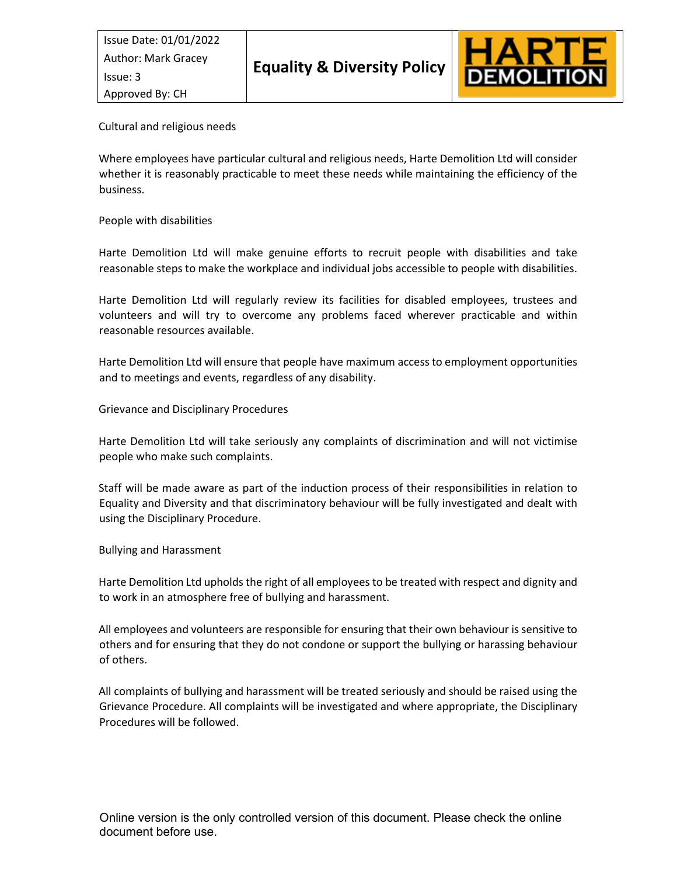Issue Date: 01/01/2022 Issue: 3 Approved By: CH



Cultural and religious needs

Where employees have particular cultural and religious needs, Harte Demolition Ltd will consider whether it is reasonably practicable to meet these needs while maintaining the efficiency of the business.

## People with disabilities

Harte Demolition Ltd will make genuine efforts to recruit people with disabilities and take reasonable steps to make the workplace and individual jobs accessible to people with disabilities.

Harte Demolition Ltd will regularly review its facilities for disabled employees, trustees and volunteers and will try to overcome any problems faced wherever practicable and within reasonable resources available.

Harte Demolition Ltd will ensure that people have maximum access to employment opportunities and to meetings and events, regardless of any disability.

Grievance and Disciplinary Procedures

Harte Demolition Ltd will take seriously any complaints of discrimination and will not victimise people who make such complaints.

Staff will be made aware as part of the induction process of their responsibilities in relation to Equality and Diversity and that discriminatory behaviour will be fully investigated and dealt with using the Disciplinary Procedure.

Bullying and Harassment

Harte Demolition Ltd upholds the right of all employees to be treated with respect and dignity and to work in an atmosphere free of bullying and harassment.

All employees and volunteers are responsible for ensuring that their own behaviour is sensitive to others and for ensuring that they do not condone or support the bullying or harassing behaviour of others.

All complaints of bullying and harassment will be treated seriously and should be raised using the Grievance Procedure. All complaints will be investigated and where appropriate, the Disciplinary Procedures will be followed.